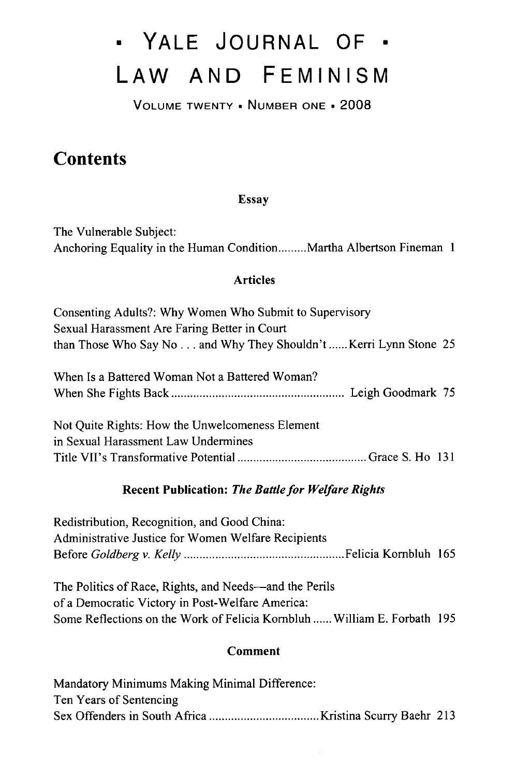# **0 YALE JOURNAL OF • LAW AND FEMINISM**

**VOLUME** TWENTY , **NUMBER ONE -** 2008

# **Contents**

### Essay

The Vulnerable Subject: Anchoring Equality in the Human Condition **.........** Martha Albertson Fineman **1**

#### Articles

| Consenting Adults?: Why Women Who Submit to Supervisory           |  |
|-------------------------------------------------------------------|--|
| Sexual Harassment Are Faring Better in Court                      |  |
| than Those Who Say No and Why They Shouldn't  Kerri Lynn Stone 25 |  |

| When Is a Battered Woman Not a Battered Woman? |  |
|------------------------------------------------|--|
|                                                |  |

Not Quite Rights: How the Unwelcomeness Element in Sexual Harassment Law Undermines Title VII's Transformative Potential **.........................................** Grace S. Ho 131

# Recent Publication: *The Battle for Welfare Rights*

Redistribution, Recognition, and Good China: Administrative Justice for Women Welfare Recipients Before *Goldberg v. Kelly ...................................................* Felicia Kornbluh 165

The Politics of Race, Rights, and Needs—and the Perils of a Democratic Victory in Post-Welfare America: Some Reflections on the Work of Felicia Kombluh **......** William E. Forbath 195

# Comment

| Mandatory Minimums Making Minimal Difference: |  |
|-----------------------------------------------|--|
| Ten Years of Sentencing                       |  |
|                                               |  |